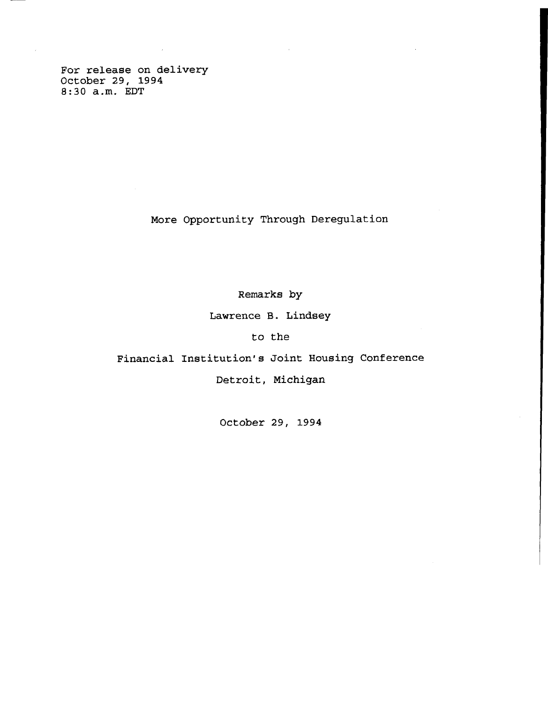**For release on delivery October 29, 1994 8:30 a.m. EDT**

**More Opportunity Through Deregulation**

**Remarks by**

**Lawrence B. Lindsey**

**to the**

**Financial Institution's Joint Housing Conference**

**Detroit, Michigan**

**October 29, 1994**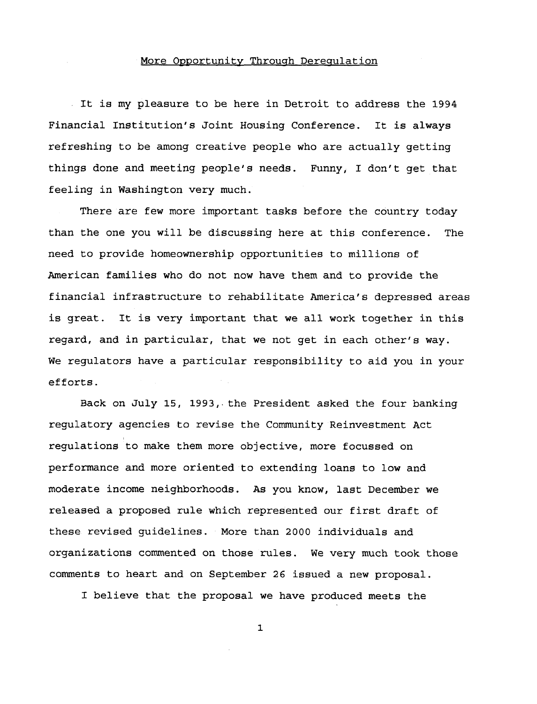## **More Opportunity Through Deregulation**

**It is my pleasure to be here in Detroit to address the 1994 Financial Institution's Joint Housing Conference. It is always refreshing to be among creative people who are actually getting things done and meeting people's needs. Funny, I don't get that feeling in Washington very much.**

**There are few more important tasks before the country today than the one you will be discussing here at this conference. The need to provide homeownership opportunities to millions of American families who do not now have them and to provide the financial infrastructure to rehabilitate America's depressed areas is great. It is very important that we all work together in this regard, and in particular, that we not get in each other's way. We regulators have a particular responsibility to aid you in your efforts.**

**Back on July 15, 1993,. the President asked the four banking regulatory agencies to revise the Community Reinvestment Act regulations to make them more objective, more focussed on performance and more oriented to extending loans to low and moderate income neighborhoods. As you know, last December we released a proposed rule which represented our first draft of these revised guidelines. More than 2000 individuals and organizations commented on those rules. We very much took those comments to heart and on September 2 6 issued a new proposal.**

**I believe that the proposal we have produced meets the**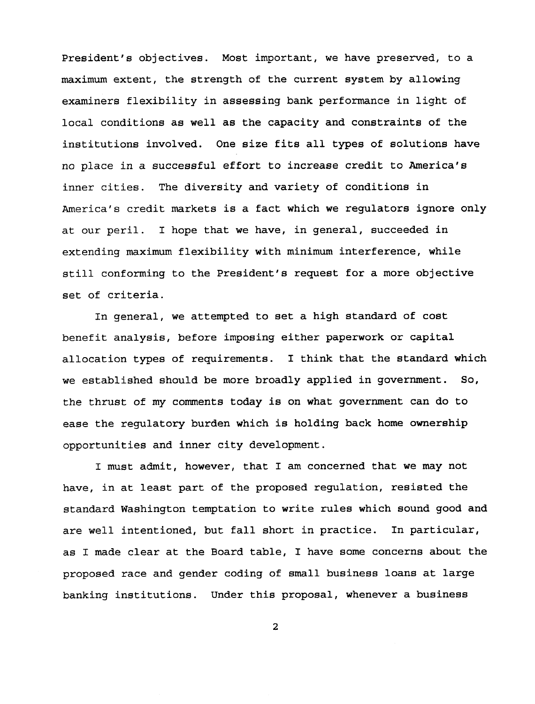**President's objectives. Most important, we have preserved, to a maximum extent, the strength of the current system by allowing examiners flexibility in assessing bank performance in light of local conditions as well as the capacity and constraints of the institutions involved. One size fits all types of solutions have no place in a successful effort to increase credit to America's inner cities. The diversity and variety of conditions in America's credit markets is a fact which we regulators ignore only at our peril. I hope that we have, in general, succeeded in extending maximum flexibility with minimum interference, while still conforming to the President's request for a more objective set of criteria.**

**In general, we attempted to set a high standard of cost benefit analysis, before imposing either paperwork or capital allocation types of requirements. I think that the standard which we established should be more broadly applied in government. So, the thrust of my comments today is on what government can do to ease the regulatory burden which is holding back home ownership opportunities and inner city development.**

**I must admit, however, that I am concerned that we may not have, in at least part of the proposed regulation, resisted the standard Washington temptation to write rules which sound good and are well intentioned, but fall short in practice. In particular, as I made clear at the Board table, I have some concerns about the proposed race and gender coding of small business loans at large banking institutions. Under this proposal, whenever a business**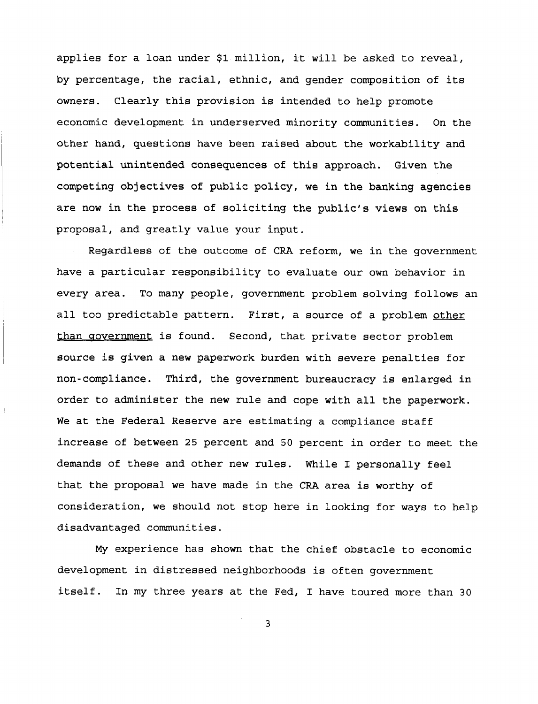applies for a loan under \$1 million, it will be asked to reveal, by percentage, the racial, ethnic, and gender composition of its owners. Clearly this provision is intended to help promote economic development in underserved minority communities. On the other hand, questions have been raised about the workability and potential unintended consequences of this approach. Given the competing objectives of public policy, we in the banking agencies are now in the process of soliciting the public's views on this proposal, and greatly value your input.

Regardless of the outcome of CRA reform, we in the government have a particular responsibility to evaluate our own behavior in every area. To many people, government problem solving follows an all too predictable pattern. First, a source of a problem other than government is found. Second, that private sector problem source is given a new paperwork burden with severe penalties for non-compliance. Third, the government bureaucracy is enlarged in order to administer the new rule and cope with all the paperwork. We at the Federal Reserve are estimating a compliance staff increase of between 25 percent and 50 percent in order to meet the demands of these and other new rules. While I personally feel that the proposal we have made in the CRA area is worthy of consideration, we should not stop here in looking for ways to help disadvantaged communities.

My experience has shown that the chief obstacle to economic development in distressed neighborhoods is often government itself. In my three years at the Fed, I have toured more than 30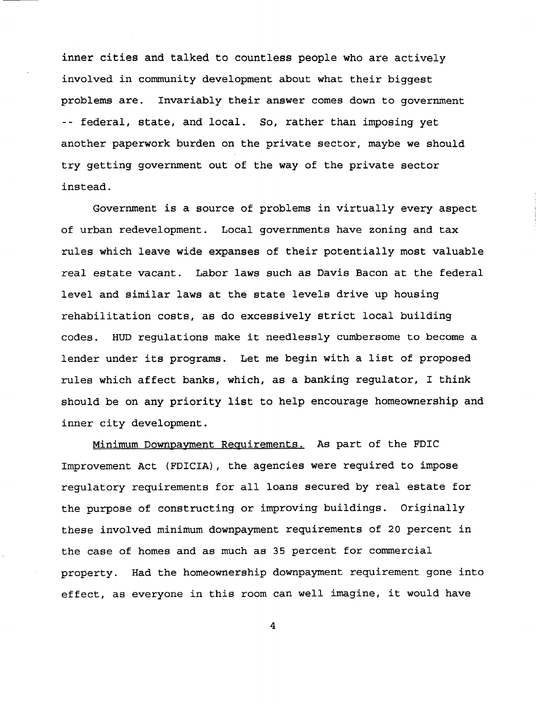**inner cities and talked to countless people who are actively involved in community development about what their biggest problems are. Invariably their answer comes down to government -- federal, state, and local. So, rather than imposing yet another paperwork burden on the private sector, maybe we should try getting government out of the way of the private sector instead.**

**Government is a source of problems in virtually every aspect of urban redevelopment. Local governments have zoning and tax rules which leave wide expanses of their potentially most valuable real estate vacant. Labor laws such as Davis Bacon at the federal level and similar laws at the state levels drive up housing rehabilitation costs, as do excessively strict local building codes. HUD regulations make it needlessly cumbersome to become a lender under its programs. Let me begin with a list of proposed rules which affect banks, which, as a banking regulator, I think should be on any priority list to help encourage homeownership and inner city development.**

**Minimum Downpavment Requirements. As part of the FDIC Improvement Act (FDICIA) , the agencies were required to impose regulatory requirements for all loans secured by real estate for the purpose of constructing or improving buildings. Originally these involved minimum downpayment requirements of 2 0 percent in the case of homes and as much as 35 percent for commercial property. Had the homeownership downpayment requirement gone into effect, as everyone in this room can well imagine, it would have**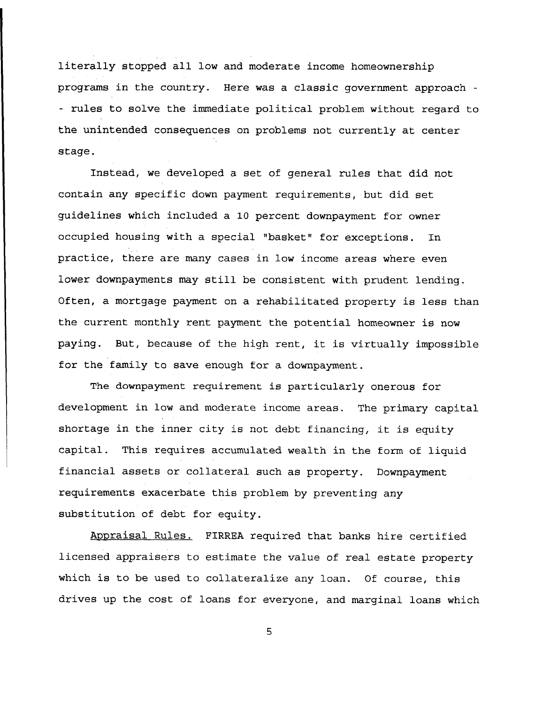**literally stopped all low and moderate income homeownership programs in the country. Here was a classic government approach - - rules to solve the immediate political problem without regard to the unintended consequences on problems not currently at center stage.**

**Instead, we developed a set of general rules that did not contain any specific down payment requirements, but did set guidelines which included a 10 percent downpayment for owner occupied housing with a special "basket" for exceptions. In practice, there are many cases in low income areas where even lower downpayments may still be consistent with prudent lending. Often, a mortgage payment on a rehabilitated property is less than the current monthly rent payment the potential homeowner is now paying. But, because of the high rent, it is virtually impossible for the family to save enough for a downpayment.**

**The downpayment requirement is particularly onerous for development in low and moderate income areas. The primary capital shortage in the inner city is not debt financing, it is equity capital. This requires accumulated wealth in the form of liquid financial assets or collateral such as property. Downpayment requirements exacerbate this problem by preventing any substitution of debt for equity.**

**Appraisal Rules. FIRREA required that banks hire certified licensed appraisers to estimate the value of real estate property which is to be used to collateralize any loan. Of course, this drives up the cost of loans for everyone, and marginal loans which**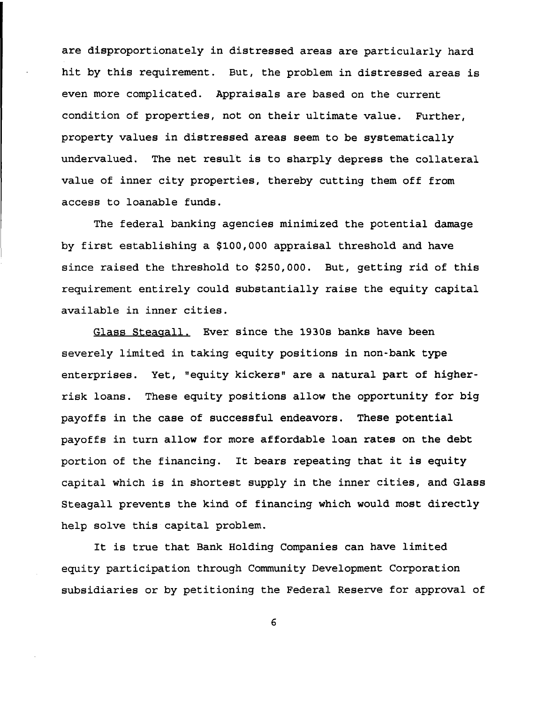**are disproportionately in distressed areas are particularly hard hit by this requirement. But, the problem in distressed areas is even more complicated. Appraisals are based on the current condition of properties, not on their ultimate value. Further, property values in distressed areas seem to be systematically undervalued. The net result is to sharply depress the collateral value of inner city properties, thereby cutting them off from access to loanable funds.**

**The federal banking agencies minimized the potential damage by first establishing a \$100,000 appraisal threshold and have since raised the threshold to \$250,000. But, getting rid of this requirement entirely could substantially raise the equity capital available in inner cities.**

**Glass Steaaall. Ever since the 1930s banks have been severely limited in taking equity positions in non-bank type enterprises. Yet, "equity kickers" are a natural part of higherrisk loans. These equity positions allow the opportunity for big payoffs in the case of successful endeavors. These potential payoffs in turn allow for more affordable loan rates on the debt portion of the financing. It bears repeating that it is equity capital which is in shortest supply in the inner cities, and Glass Steagall prevents the kind of financing which would most directly help solve this capital problem.**

**It is true that Bank Holding Companies can have limited equity participation through Community Development Corporation subsidiaries or by petitioning the Federal Reserve for approval of**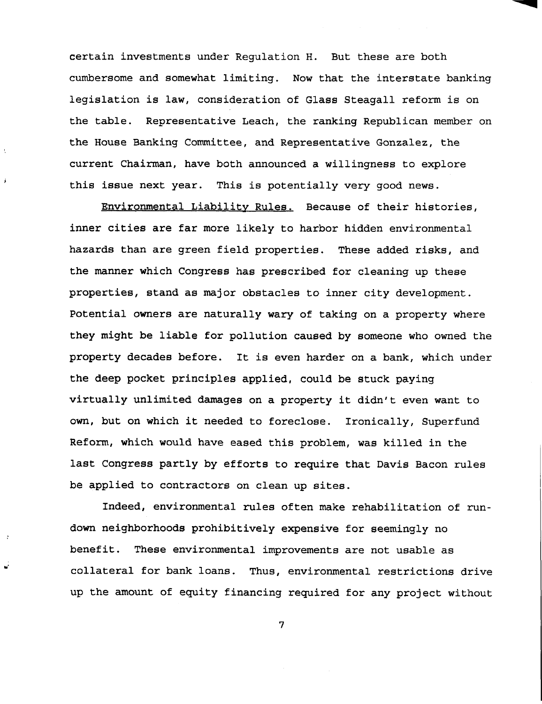**certain investments under Regulation H. But these are both cumbersome and somewhat limiting. Now that the interstate banking legislation is law, consideration of Glass Steagall reform is on the table. Representative Leach, the ranking Republican member on the House Banking Committee, and Representative Gonzalez, the current Chairman, have both announced a willingness to explore this issue next year. This is potentially very good news.**

 $\epsilon$ 

**Environmental Liability Rules. Because of their histories, inner cities are far more likely to harbor hidden environmental hazards than are green field properties. These added risks, and the manner which Congress has prescribed for cleaning up these properties, stand as major obstacles to inner city development. Potential owners are naturally wary of taking on a property where they might be liable for pollution caused by someone who owned the property decades before. It is even harder on a bank, which under the deep pocket principles applied, could be stuck paying virtually unlimited damages on a property it didn't even want to own, but on which it needed to foreclose. Ironically, Superfund Reform, which would have eased this problem, was killed in the last Congress partly by efforts to require that Davis Bacon rules be applied to contractors on clean up sites.**

**Indeed, environmental rules often make rehabilitation of rundown neighborhoods prohibitively expensive for seemingly no benefit. These environmental improvements are not usable as collateral for bank loans. Thus, environmental restrictions drive up the amount of equity financing required for any project without**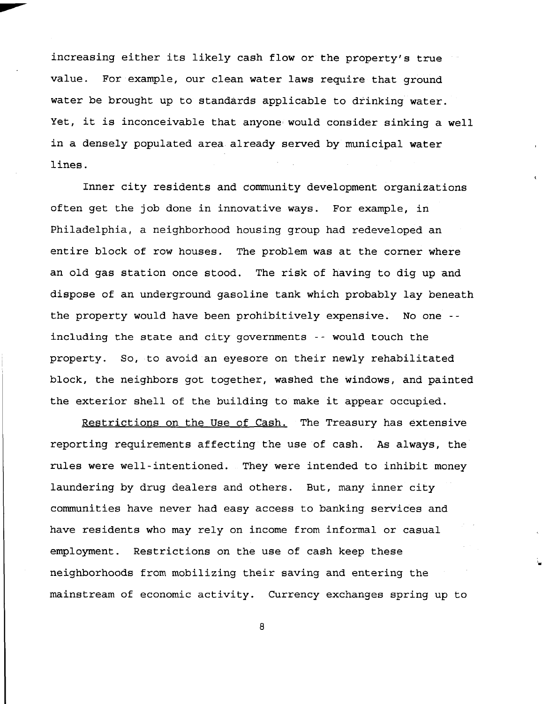**increasing either its likely cash flow or the property's true value. For example, our clean water laws require that ground water be brought up to standards applicable to drinking water. Yet, it is inconceivable that anyone would consider sinking a well in a densely populated area already served by municipal water lines.**

**Inner city residents and community development organizations often get the job done in innovative ways. For example, in Philadelphia, a neighborhood housing group had redeveloped an entire block of row houses. The problem was at the corner where an old gas station once stood. The risk of having to dig up and dispose of an underground gasoline tank which probably lay beneath the property would have been prohibitively expensive. No one - including the state and city governments - - would touch the property. So, to avoid an eyesore on their newly rehabilitated block, the neighbors got together, washed the windows, and painted the exterior shell of the building to make it appear occupied.**

**Restrictions on the Use of Cash. The Treasury has extensive reporting requirements affecting the use of cash. As always, the rules were well-intentioned. They were intended to inhibit money laundering by drug dealers and others. But, many inner city communities have never had easy access to banking services and have residents who may rely on income from informal or casual employment. Restrictions on the use of cash keep these neighborhoods from mobilizing their saving and entering the mainstream of economic activity. Currency exchanges spring up to**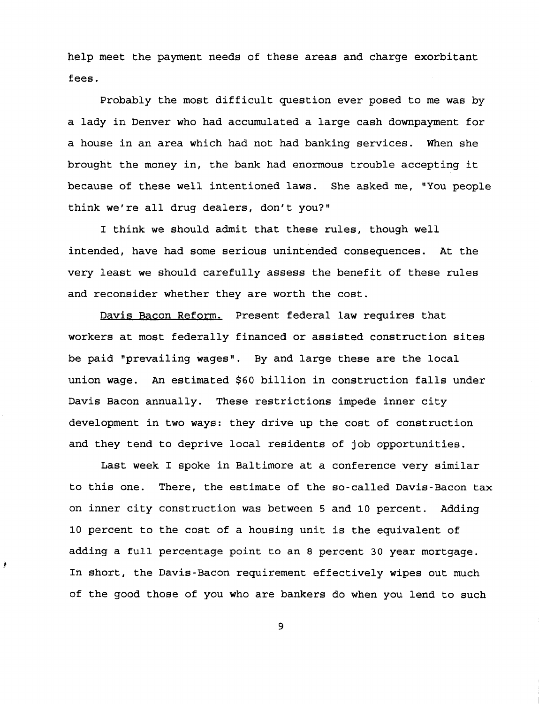**help meet the payment needs of these areas and charge exorbitant fees.**

**Probably the most difficult question ever posed to me was by a lady in Denver who had accumulated a large cash downpayment for a house in an area which had not had banking services. When she brought the money in, the bank had enormous trouble accepting it because of these well intentioned laws. She asked me, "You people think we're all drug dealers, don't you?"**

**I think we should admit that these rules, though well intended, have had some serious unintended consequences. At the very least we should carefully assess the benefit of these rules and reconsider whether they are worth the cost.**

**Davis Bacon Reform. Present federal law requires that workers at most federally financed or assisted construction sites be paid "prevailing wages". By and large these are the local union wage. An estimated \$60 billion in construction falls under Davis Bacon annually. These restrictions impede inner city development in two ways: they drive up the cost of construction and they tend to deprive local residents of job opportunities.**

**Last week I spoke in Baltimore at a conference very similar to this one. There, the estimate of the so-called Davis-Bacon tax on inner city construction was between 5 and 10 percent. Adding 10 percent to the cost of a housing unit is the equivalent of adding a full percentage point to an 8 percent 30 year mortgage. In short, the Davis-Bacon requirement effectively wipes out much of the good those of you who are bankers do when you lend to such**

ŧ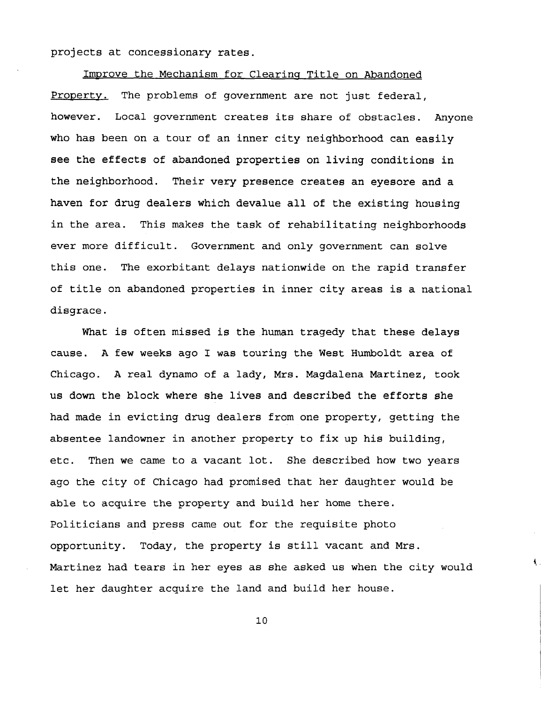**projects at concessionary rates.**

**Improve the Mechanism for Clearing Title on Abandoned Property. The problems of government are not just federal, however. Local government creates its share of obstacles. Anyone who has been on a tour of an inner city neighborhood can easily see the effects of abandoned properties on living conditions in the neighborhood. Their very presence creates an eyesore and a haven for drug dealers which devalue all of the existing housing in the area. This makes the task of rehabilitating neighborhoods ever more difficult. Government and only government can solve this one. The exorbitant delays nationwide on the rapid transfer of title on abandoned properties in inner city areas is a national disgrace.**

**What is often missed is the human tragedy that these delays cause. A few weeks ago I was touring the West Humboldt area of Chicago. A real dynamo of a lady, Mrs. Magdalena Martinez, took us down the block where she lives and described the efforts she had made in evicting drug dealers from one property, getting the absentee landowner in another property to fix up his building, etc. Then we came to a vacant lot. She described how two years ago the city of Chicago had promised that her daughter would be able to acquire the property and build her home there. Politicians and press came out for the requisite photo opportunity. Today, the property is still vacant and Mrs. Martinez had tears in her eyes as she asked us when the city would let her daughter acquire the land and build her house.**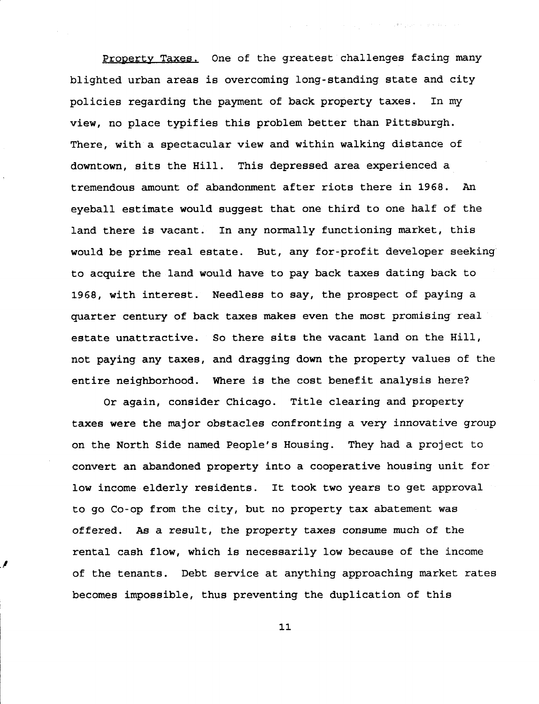**Property Taxes. One of the greatest challenges facing many blighted urban areas is overcoming long-standing state and city policies regarding the payment of back property taxes. In my view, no place typifies this problem better than Pittsburgh. There, with a spectacular view and within walking distance of downtown, sits the Hill. This depressed area experienced a tremendous amount of abandonment after riots there in 1968. An eyeball estimate would suggest that one third to one half of the land there is vacant. In any normally functioning market, this would be prime real estate. But, any for-profit developer seeking to acquire the land would have to pay back taxes dating back to 1968, with interest. Needless to say, the prospect of paying a quarter century of back taxes makes even the most promising real estate unattractive. So there sits the vacant land on the Hill, not paying any taxes, and dragging down the property values of the entire neighborhood. Where is the cost benefit analysis here?**

a kacamatan ing kabupatèn Kabupatèn Kabupatèn Kabupatèn Ka

**Or again, consider Chicago. Title clearing and property taxes were the major obstacles confronting a very innovative group on the North Side named People's Housing. They had a project to convert an abandoned property into a cooperative housing unit for low income elderly residents. It took two years to get approval to go Co-op from the city, but no property tax abatement was offered. As a result, the property taxes consume much of the rental cash flow, which is necessarily low because of the income of the tenants. Debt service at anything approaching market rates becomes impossible, thus preventing the duplication of this**